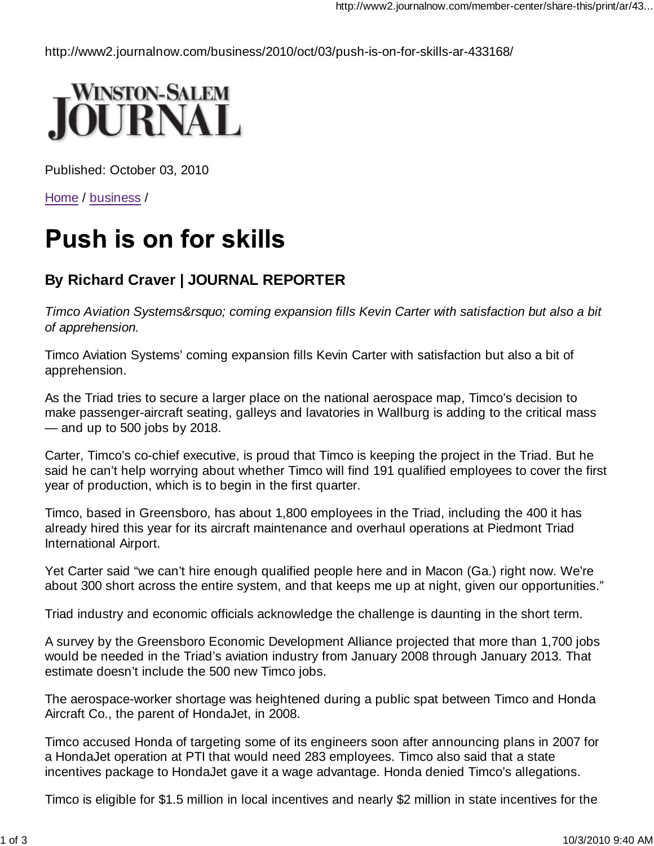http://www2.journalnow.com/business/2010/oct/03/push-is-on-for-skills-ar-433168/



Published: October 03, 2010

Home / business /

## **Push is on for skills**

## **By Richard Craver | JOURNAL REPORTER**

*Timco Aviation Systems' coming expansion fills Kevin Carter with satisfaction but also a bit of apprehension.*

Timco Aviation Systems' coming expansion fills Kevin Carter with satisfaction but also a bit of apprehension.

As the Triad tries to secure a larger place on the national aerospace map, Timco's decision to make passenger-aircraft seating, galleys and lavatories in Wallburg is adding to the critical mass — and up to 500 jobs by 2018.

Carter, Timco's co-chief executive, is proud that Timco is keeping the project in the Triad. But he said he can't help worrying about whether Timco will find 191 qualified employees to cover the first year of production, which is to begin in the first quarter.

Timco, based in Greensboro, has about 1,800 employees in the Triad, including the 400 it has already hired this year for its aircraft maintenance and overhaul operations at Piedmont Triad International Airport.

Yet Carter said "we can't hire enough qualified people here and in Macon (Ga.) right now. We're about 300 short across the entire system, and that keeps me up at night, given our opportunities."

Triad industry and economic officials acknowledge the challenge is daunting in the short term.

A survey by the Greensboro Economic Development Alliance projected that more than 1,700 jobs would be needed in the Triad's aviation industry from January 2008 through January 2013. That estimate doesn't include the 500 new Timco jobs.

The aerospace-worker shortage was heightened during a public spat between Timco and Honda Aircraft Co., the parent of HondaJet, in 2008.

Timco accused Honda of targeting some of its engineers soon after announcing plans in 2007 for a HondaJet operation at PTI that would need 283 employees. Timco also said that a state incentives package to HondaJet gave it a wage advantage. Honda denied Timco's allegations.

Timco is eligible for \$1.5 million in local incentives and nearly \$2 million in state incentives for the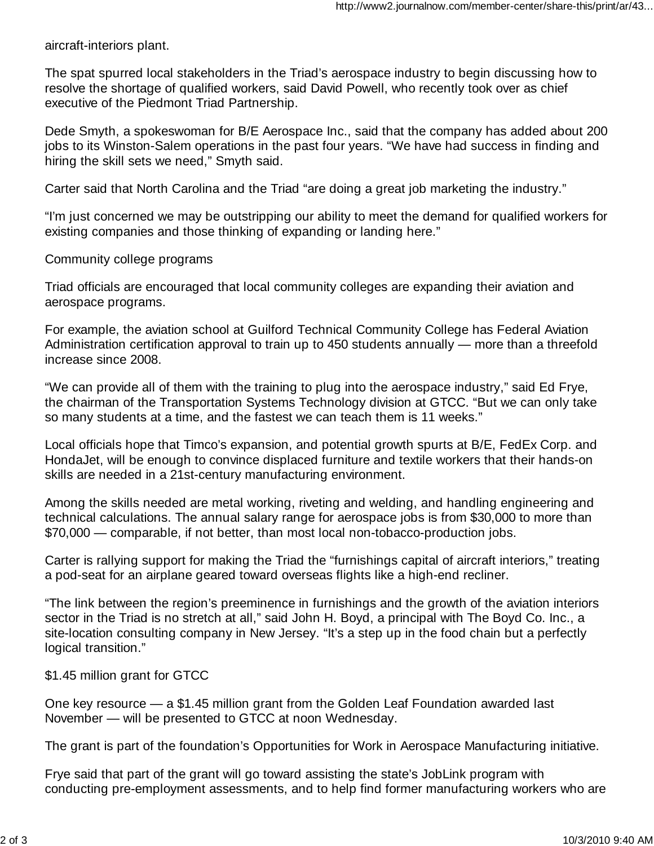aircraft-interiors plant.

The spat spurred local stakeholders in the Triad's aerospace industry to begin discussing how to resolve the shortage of qualified workers, said David Powell, who recently took over as chief executive of the Piedmont Triad Partnership.

Dede Smyth, a spokeswoman for B/E Aerospace Inc., said that the company has added about 200 jobs to its Winston-Salem operations in the past four years. "We have had success in finding and hiring the skill sets we need," Smyth said.

Carter said that North Carolina and the Triad "are doing a great job marketing the industry."

"I'm just concerned we may be outstripping our ability to meet the demand for qualified workers for existing companies and those thinking of expanding or landing here."

Community college programs

Triad officials are encouraged that local community colleges are expanding their aviation and aerospace programs.

For example, the aviation school at Guilford Technical Community College has Federal Aviation Administration certification approval to train up to 450 students annually — more than a threefold increase since 2008.

"We can provide all of them with the training to plug into the aerospace industry," said Ed Frye, the chairman of the Transportation Systems Technology division at GTCC. "But we can only take so many students at a time, and the fastest we can teach them is 11 weeks."

Local officials hope that Timco's expansion, and potential growth spurts at B/E, FedEx Corp. and HondaJet, will be enough to convince displaced furniture and textile workers that their hands-on skills are needed in a 21st-century manufacturing environment.

Among the skills needed are metal working, riveting and welding, and handling engineering and technical calculations. The annual salary range for aerospace jobs is from \$30,000 to more than \$70,000 — comparable, if not better, than most local non-tobacco-production jobs.

Carter is rallying support for making the Triad the "furnishings capital of aircraft interiors," treating a pod-seat for an airplane geared toward overseas flights like a high-end recliner.

"The link between the region's preeminence in furnishings and the growth of the aviation interiors sector in the Triad is no stretch at all," said John H. Boyd, a principal with The Boyd Co. Inc., a site-location consulting company in New Jersey. "It's a step up in the food chain but a perfectly logical transition."

\$1.45 million grant for GTCC

One key resource — a \$1.45 million grant from the Golden Leaf Foundation awarded last November — will be presented to GTCC at noon Wednesday.

The grant is part of the foundation's Opportunities for Work in Aerospace Manufacturing initiative.

Frye said that part of the grant will go toward assisting the state's JobLink program with conducting pre-employment assessments, and to help find former manufacturing workers who are